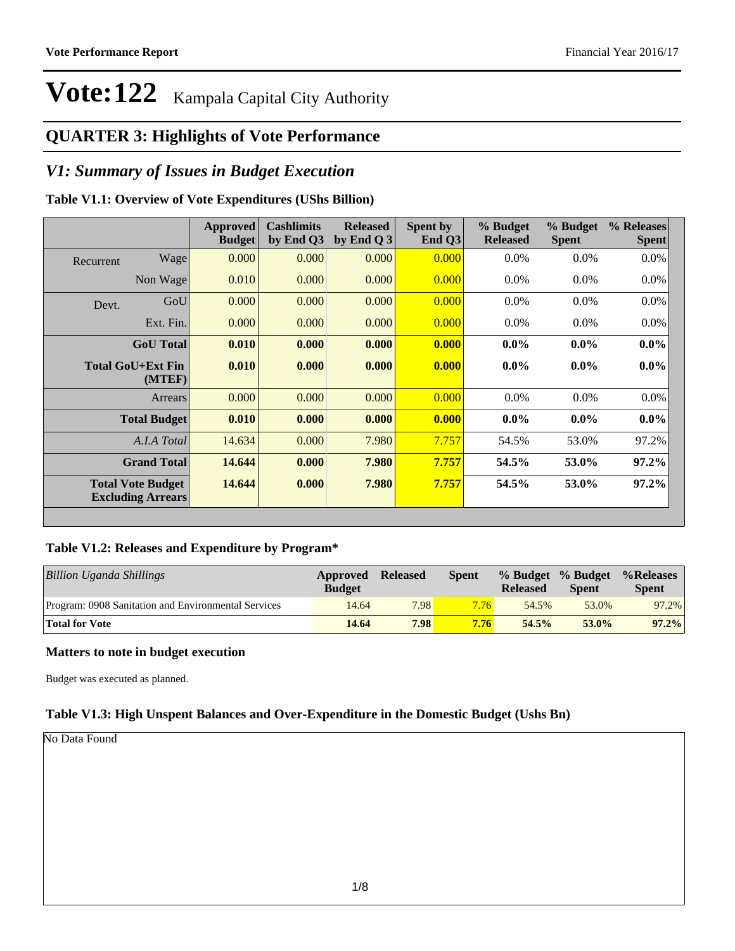### **QUARTER 3: Highlights of Vote Performance**

### *V1: Summary of Issues in Budget Execution*

### **Table V1.1: Overview of Vote Expenditures (UShs Billion)**

|           |                                                      | Approved<br><b>Budget</b> | <b>Cashlimits</b><br>by End Q3 | <b>Released</b><br>by End Q $3$ | Spent by<br>End Q3 | % Budget<br><b>Released</b> | % Budget<br><b>Spent</b> | % Releases<br><b>Spent</b> |
|-----------|------------------------------------------------------|---------------------------|--------------------------------|---------------------------------|--------------------|-----------------------------|--------------------------|----------------------------|
| Recurrent | Wage                                                 | 0.000                     | 0.000                          | 0.000                           | 0.000              | $0.0\%$                     | 0.0%                     | $0.0\%$                    |
|           | Non Wage                                             | 0.010                     | 0.000                          | 0.000                           | 0.000              | $0.0\%$                     | $0.0\%$                  | $0.0\%$                    |
| Devt.     | GoU                                                  | 0.000                     | 0.000                          | 0.000                           | 0.000              | $0.0\%$                     | $0.0\%$                  | $0.0\%$                    |
|           | Ext. Fin.                                            | 0.000                     | 0.000                          | 0.000                           | 0.000              | $0.0\%$                     | $0.0\%$                  | $0.0\%$                    |
|           | <b>GoU</b> Total                                     | 0.010                     | 0.000                          | 0.000                           | 0.000              | $0.0\%$                     | $0.0\%$                  | $0.0\%$                    |
|           | Total GoU+Ext Fin<br>(MTEF)                          | 0.010                     | 0.000                          | 0.000                           | 0.000              | $0.0\%$                     | $0.0\%$                  | $0.0\%$                    |
|           | Arrears                                              | 0.000                     | 0.000                          | 0.000                           | 0.000              | $0.0\%$                     | $0.0\%$                  | 0.0%                       |
|           | <b>Total Budget</b>                                  | 0.010                     | 0.000                          | 0.000                           | 0.000              | $0.0\%$                     | $0.0\%$                  | $0.0\%$                    |
|           | A.I.A Total                                          | 14.634                    | 0.000                          | 7.980                           | 7.757              | 54.5%                       | 53.0%                    | 97.2%                      |
|           | <b>Grand Total</b>                                   | 14.644                    | 0.000                          | 7.980                           | 7.757              | 54.5%                       | 53.0%                    | $97.2\%$                   |
|           | <b>Total Vote Budget</b><br><b>Excluding Arrears</b> | 14.644                    | 0.000                          | 7.980                           | 7.757              | 54.5%                       | 53.0%                    | $97.2\%$                   |

### **Table V1.2: Releases and Expenditure by Program\***

| Billion Uganda Shillings                            | Approved<br><b>Budget</b> | <b>Released</b> | <b>Spent</b> | <b>Released</b> | % Budget % Budget<br><b>Spent</b> | %Releases<br><b>Spent</b> |
|-----------------------------------------------------|---------------------------|-----------------|--------------|-----------------|-----------------------------------|---------------------------|
| Program: 0908 Sanitation and Environmental Services | 14.64                     | 7.98            | 7.76         | 54.5%           | 53.0%                             | 97.2%                     |
| <b>Total for Vote</b>                               | 14.64                     | 7.98            | 7.76         | 54.5%           | $53.0\%$                          | 97.2%                     |

### **Matters to note in budget execution**

Budget was executed as planned.

### **Table V1.3: High Unspent Balances and Over-Expenditure in the Domestic Budget (Ushs Bn)**

No Data Found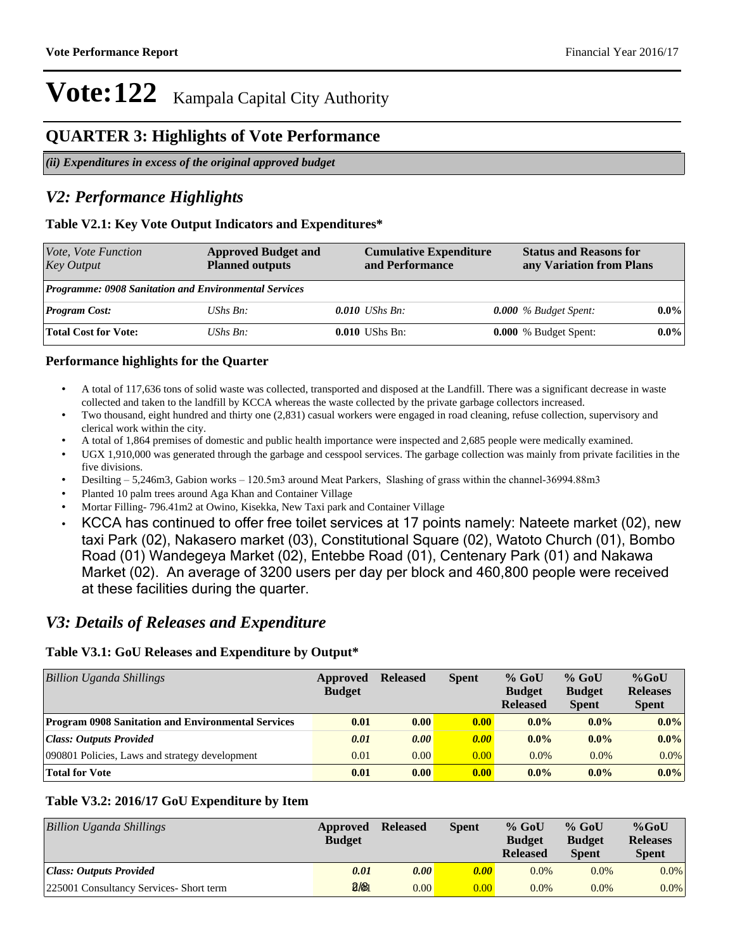### **QUARTER 3: Highlights of Vote Performance**

*(ii) Expenditures in excess of the original approved budget*

### *V2: Performance Highlights*

### **Table V2.1: Key Vote Output Indicators and Expenditures\***

| Vote, Vote Function<br><b>Key Output</b>                     | <b>Approved Budget and</b><br><b>Planned outputs</b> | <b>Cumulative Expenditure</b><br>and Performance |  | <b>Status and Reasons for</b><br>any Variation from Plans |         |
|--------------------------------------------------------------|------------------------------------------------------|--------------------------------------------------|--|-----------------------------------------------------------|---------|
| <b>Programme: 0908 Sanitation and Environmental Services</b> |                                                      |                                                  |  |                                                           |         |
| <b>Program Cost:</b>                                         | UShs $Bn$ :                                          | $0.010$ UShs Bn:                                 |  | $0.000\%$ Budget Spent:                                   | $0.0\%$ |
| <b>Total Cost for Vote:</b>                                  | UShs $Bn$ :                                          | $0.010$ UShs Bn:                                 |  | 0.000 % Budget Spent:                                     | $0.0\%$ |

#### **Performance highlights for the Quarter**

- A total of 117,636 tons of solid waste was collected, transported and disposed at the Landfill. There was a significant decrease in waste collected and taken to the landfill by KCCA whereas the waste collected by the private garbage collectors increased.
- Two thousand, eight hundred and thirty one (2,831) casual workers were engaged in road cleaning, refuse collection, supervisory and clerical work within the city.
- A total of 1,864 premises of domestic and public health importance were inspected and 2,685 people were medically examined.
- UGX 1,910,000 was generated through the garbage and cesspool services. The garbage collection was mainly from private facilities in the five divisions.
- Desilting 5,246m3, Gabion works 120.5m3 around Meat Parkers, Slashing of grass within the channel-36994.88m3
- Planted 10 palm trees around Aga Khan and Container Village
- Mortar Filling- 796.41m2 at Owino, Kisekka, New Taxi park and Container Village
- KCCA has continued to offer free toilet services at 17 points namely: Nateete market (02), new taxi Park (02), Nakasero market (03), Constitutional Square (02), Watoto Church (01), Bombo Road (01) Wandegeya Market (02), Entebbe Road (01), Centenary Park (01) and Nakawa Market (02). An average of 3200 users per day per block and 460,800 people were received at these facilities during the quarter.

### *V3: Details of Releases and Expenditure*

### **Table V3.1: GoU Releases and Expenditure by Output\***

| Billion Uganda Shillings                                  | Approved<br><b>Budget</b> | <b>Released</b> | <b>Spent</b> | $%$ GoU<br><b>Budget</b><br><b>Released</b> | $%$ GoU<br><b>Budget</b><br><b>Spent</b> | $%$ GoU<br><b>Releases</b><br><b>Spent</b> |
|-----------------------------------------------------------|---------------------------|-----------------|--------------|---------------------------------------------|------------------------------------------|--------------------------------------------|
| <b>Program 0908 Sanitation and Environmental Services</b> | 0.01                      | 0.00            | 0.00         | $0.0\%$                                     | $0.0\%$                                  | $0.0\%$                                    |
| <b>Class: Outputs Provided</b>                            | 0.01                      | 0.00            | 0.00         | $0.0\%$                                     | $0.0\%$                                  | $0.0\%$                                    |
| 090801 Policies, Laws and strategy development            | 0.01                      | 0.00            | 0.00         | $0.0\%$                                     | $0.0\%$                                  | $0.0\%$                                    |
| <b>Total for Vote</b>                                     | 0.01                      | 0.00            | 0.00         | $0.0\%$                                     | $0.0\%$                                  | $0.0\%$                                    |

### **Table V3.2: 2016/17 GoU Expenditure by Item**

| <b>Billion Uganda Shillings</b>         | Approved<br><b>Budget</b> | <b>Released</b> | <b>Spent</b>      | $%$ GoU<br><b>Budget</b><br><b>Released</b> | $%$ GoU<br><b>Budget</b><br><b>Spent</b> | $%$ GoU<br><b>Releases</b><br><b>Spent</b> |
|-----------------------------------------|---------------------------|-----------------|-------------------|---------------------------------------------|------------------------------------------|--------------------------------------------|
| Class: Outputs Provided                 | 0.01                      | 0.00            | 0.00 <sub>1</sub> | $0.0\%$                                     | $0.0\%$                                  | $0.0\%$                                    |
| 225001 Consultancy Services- Short term | 2/81                      | 0.00            | 0.00 <sub>l</sub> | 0.0%                                        | 0.0%                                     | $0.0\%$                                    |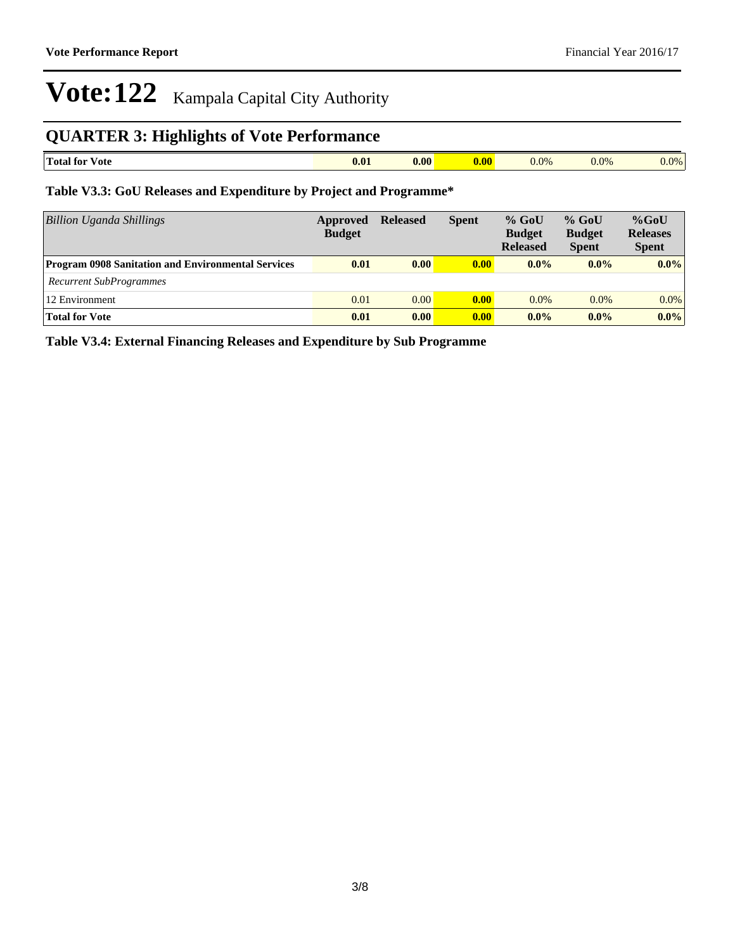## **QUARTER 3: Highlights of Vote Performance**

| m<br><b>Total for</b><br>/ote | $\bf{0.01}$ | 0.00 | nv, | $0.0\%$<br>- - - - | 0.0% | $0.0\%$ |
|-------------------------------|-------------|------|-----|--------------------|------|---------|

### **Table V3.3: GoU Releases and Expenditure by Project and Programme\***

| <b>Billion Uganda Shillings</b>                           | Approved<br><b>Budget</b> | <b>Released</b> | <b>Spent</b>       | $%$ GoU<br><b>Budget</b><br><b>Released</b> | $%$ GoU<br><b>Budget</b><br><b>Spent</b> | $%$ GoU<br><b>Releases</b><br><b>Spent</b> |
|-----------------------------------------------------------|---------------------------|-----------------|--------------------|---------------------------------------------|------------------------------------------|--------------------------------------------|
| <b>Program 0908 Sanitation and Environmental Services</b> | 0.01                      | 0.00            | $\vert 0.00 \vert$ | $0.0\%$                                     | $0.0\%$                                  | $0.0\%$                                    |
| <b>Recurrent SubProgrammes</b>                            |                           |                 |                    |                                             |                                          |                                            |
| 12 Environment                                            | 0.01                      | 0.00            | 0.00               | 0.0%                                        | 0.0%                                     | $0.0\%$                                    |
| <b>Total for Vote</b>                                     | 0.01                      | 0.00            | 0.00               | $0.0\%$                                     | $0.0\%$                                  | $0.0\%$                                    |

**Table V3.4: External Financing Releases and Expenditure by Sub Programme**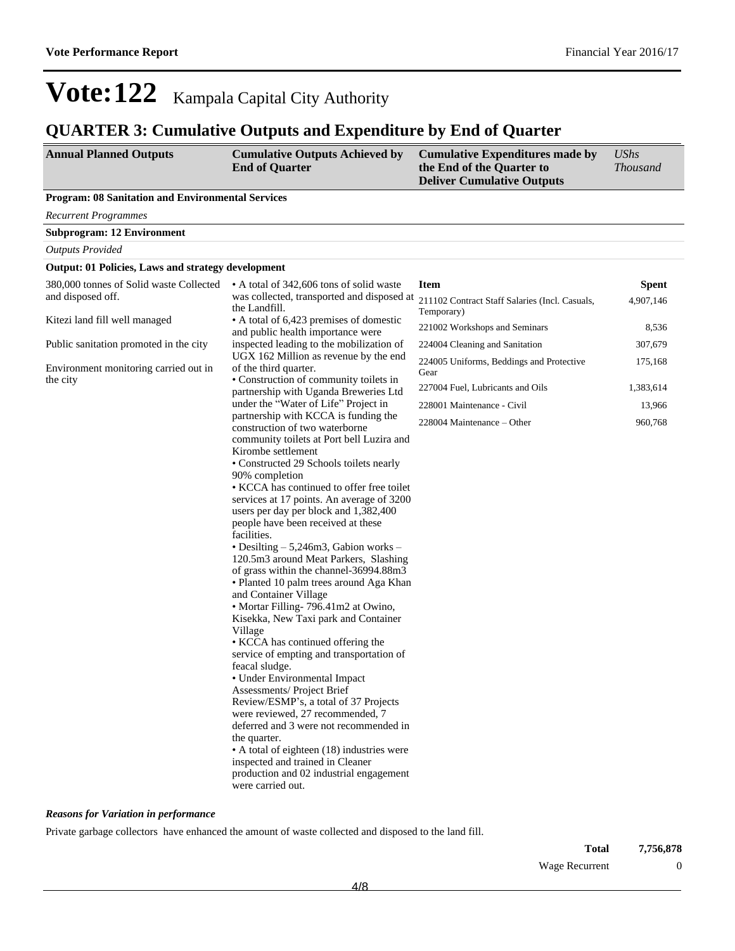### **QUARTER 3: Cumulative Outputs and Expenditure by End of Quarter**

| <b>Annual Planned Outputs</b> | <b>Cumulative Outputs Achieved by</b> | <b>Cumulative Expenditures made by</b> | UShs            |
|-------------------------------|---------------------------------------|----------------------------------------|-----------------|
|                               | <b>End of Ouarter</b>                 | the End of the Quarter to              | <i>Thousand</i> |
|                               |                                       | <b>Deliver Cumulative Outputs</b>      |                 |

#### **Program: 08 Sanitation and Environmental Services**

*Recurrent Programmes*

**Subprogram: 12 Environment**

*Outputs Provided*

#### **Output: 01 Policies, Laws and strategy development**

| 380,000 tonnes of Solid waste Collected | • A total of 342,606 tons of solid waste                                        | <b>Item</b>                                      | <b>Spent</b> |
|-----------------------------------------|---------------------------------------------------------------------------------|--------------------------------------------------|--------------|
| and disposed off.                       | was collected, transported and disposed at<br>the Landfill.                     | 211102 Contract Staff Salaries (Incl. Casuals,   | 4,907,146    |
| Kitezi land fill well managed           | • A total of 6,423 premises of domestic                                         | Temporary)                                       |              |
|                                         | and public health importance were                                               | 221002 Workshops and Seminars                    | 8,536        |
| Public sanitation promoted in the city  | inspected leading to the mobilization of                                        | 224004 Cleaning and Sanitation                   | 307,679      |
| Environment monitoring carried out in   | UGX 162 Million as revenue by the end<br>of the third quarter.                  | 224005 Uniforms, Beddings and Protective<br>Gear | 175,168      |
| the city                                | • Construction of community toilets in<br>partnership with Uganda Breweries Ltd | 227004 Fuel, Lubricants and Oils                 | 1,383,614    |
|                                         | under the "Water of Life" Project in                                            | 228001 Maintenance - Civil                       | 13,966       |
|                                         | partnership with KCCA is funding the<br>construction of two waterborne          | 228004 Maintenance – Other                       | 960,768      |
|                                         | community toilets at Port bell Luzira and                                       |                                                  |              |
|                                         | Kirombe settlement                                                              |                                                  |              |
|                                         | • Constructed 29 Schools toilets nearly                                         |                                                  |              |
|                                         | 90% completion                                                                  |                                                  |              |
|                                         | • KCCA has continued to offer free toilet                                       |                                                  |              |
|                                         | services at 17 points. An average of 3200                                       |                                                  |              |
|                                         | users per day per block and 1,382,400<br>people have been received at these     |                                                  |              |
|                                         | facilities.                                                                     |                                                  |              |
|                                         | • Desilting $-5,246$ m3, Gabion works $-$                                       |                                                  |              |
|                                         | 120.5m3 around Meat Parkers, Slashing                                           |                                                  |              |
|                                         | of grass within the channel-36994.88m3                                          |                                                  |              |
|                                         | • Planted 10 palm trees around Aga Khan                                         |                                                  |              |
|                                         | and Container Village                                                           |                                                  |              |
|                                         | • Mortar Filling-796.41m2 at Owino,                                             |                                                  |              |
|                                         | Kisekka, New Taxi park and Container                                            |                                                  |              |
|                                         | Village                                                                         |                                                  |              |
|                                         | • KCCA has continued offering the                                               |                                                  |              |
|                                         | service of empting and transportation of                                        |                                                  |              |
|                                         | feacal sludge.                                                                  |                                                  |              |
|                                         | • Under Environmental Impact                                                    |                                                  |              |
|                                         | Assessments/ Project Brief                                                      |                                                  |              |
|                                         | Review/ESMP's, a total of 37 Projects                                           |                                                  |              |
|                                         | were reviewed, 27 recommended, 7                                                |                                                  |              |
|                                         | deferred and 3 were not recommended in                                          |                                                  |              |
|                                         | the quarter.                                                                    |                                                  |              |
|                                         | • A total of eighteen (18) industries were                                      |                                                  |              |
|                                         | inspected and trained in Cleaner                                                |                                                  |              |
|                                         | production and 02 industrial engagement                                         |                                                  |              |
|                                         | were carried out.                                                               |                                                  |              |
|                                         |                                                                                 |                                                  |              |

#### *Reasons for Variation in performance*

Private garbage collectors have enhanced the amount of waste collected and disposed to the land fill.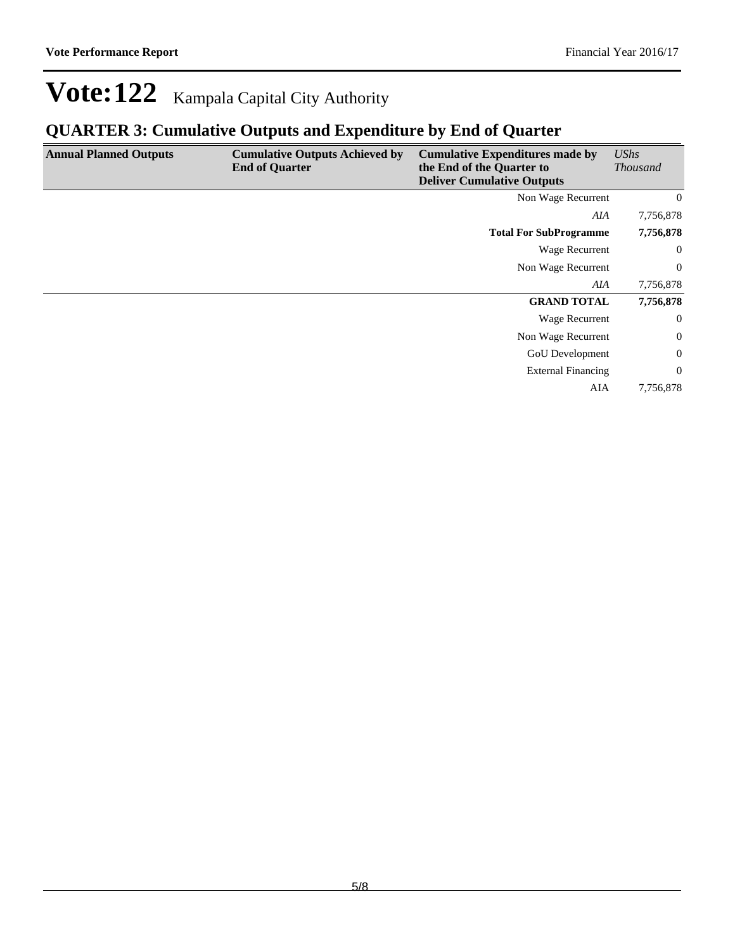## **QUARTER 3: Cumulative Outputs and Expenditure by End of Quarter**

| <b>Annual Planned Outputs</b> | <b>Cumulative Outputs Achieved by</b><br><b>End of Quarter</b> | <b>Cumulative Expenditures made by</b><br>the End of the Quarter to<br><b>Deliver Cumulative Outputs</b> | UShs<br><b>Thousand</b> |
|-------------------------------|----------------------------------------------------------------|----------------------------------------------------------------------------------------------------------|-------------------------|
|                               |                                                                | Non Wage Recurrent                                                                                       | $\overline{0}$          |
|                               |                                                                | AIA                                                                                                      | 7,756,878               |
|                               |                                                                | <b>Total For SubProgramme</b>                                                                            | 7,756,878               |
|                               |                                                                | Wage Recurrent                                                                                           | $\overline{0}$          |
|                               |                                                                | Non Wage Recurrent                                                                                       | $\overline{0}$          |
|                               |                                                                | AIA                                                                                                      | 7,756,878               |
|                               |                                                                | <b>GRAND TOTAL</b>                                                                                       | 7,756,878               |
|                               |                                                                | Wage Recurrent                                                                                           | $\overline{0}$          |
|                               |                                                                | Non Wage Recurrent                                                                                       | $\boldsymbol{0}$        |
|                               |                                                                | GoU Development                                                                                          | $\boldsymbol{0}$        |
|                               |                                                                | <b>External Financing</b>                                                                                | $\overline{0}$          |
|                               |                                                                | AIA                                                                                                      | 7,756,878               |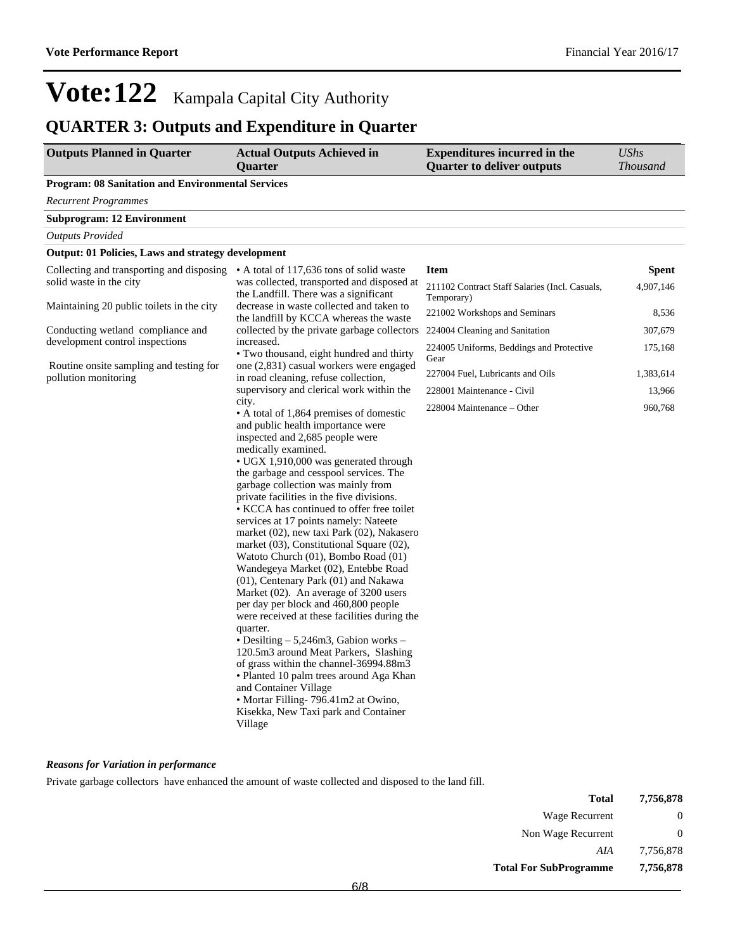# **QUARTER 3: Outputs and Expenditure in Quarter**

| <b>Outputs Planned in Quarter</b>                               | <b>Actual Outputs Achieved in</b><br><b>Ouarter</b>                                                                                                                                                                                                                                                                                                                                                                                                                                                                                                                                                                                                                                                                                                                                                                                                                                                                                                                                                                                                                  | <b>Expenditures incurred in the</b><br><b>Quarter to deliver outputs</b> | <b>UShs</b><br><b>Thousand</b> |
|-----------------------------------------------------------------|----------------------------------------------------------------------------------------------------------------------------------------------------------------------------------------------------------------------------------------------------------------------------------------------------------------------------------------------------------------------------------------------------------------------------------------------------------------------------------------------------------------------------------------------------------------------------------------------------------------------------------------------------------------------------------------------------------------------------------------------------------------------------------------------------------------------------------------------------------------------------------------------------------------------------------------------------------------------------------------------------------------------------------------------------------------------|--------------------------------------------------------------------------|--------------------------------|
| <b>Program: 08 Sanitation and Environmental Services</b>        |                                                                                                                                                                                                                                                                                                                                                                                                                                                                                                                                                                                                                                                                                                                                                                                                                                                                                                                                                                                                                                                                      |                                                                          |                                |
| <b>Recurrent Programmes</b>                                     |                                                                                                                                                                                                                                                                                                                                                                                                                                                                                                                                                                                                                                                                                                                                                                                                                                                                                                                                                                                                                                                                      |                                                                          |                                |
| <b>Subprogram: 12 Environment</b>                               |                                                                                                                                                                                                                                                                                                                                                                                                                                                                                                                                                                                                                                                                                                                                                                                                                                                                                                                                                                                                                                                                      |                                                                          |                                |
| <b>Outputs Provided</b>                                         |                                                                                                                                                                                                                                                                                                                                                                                                                                                                                                                                                                                                                                                                                                                                                                                                                                                                                                                                                                                                                                                                      |                                                                          |                                |
| <b>Output: 01 Policies, Laws and strategy development</b>       |                                                                                                                                                                                                                                                                                                                                                                                                                                                                                                                                                                                                                                                                                                                                                                                                                                                                                                                                                                                                                                                                      |                                                                          |                                |
| Collecting and transporting and disposing                       | • A total of 117,636 tons of solid waste                                                                                                                                                                                                                                                                                                                                                                                                                                                                                                                                                                                                                                                                                                                                                                                                                                                                                                                                                                                                                             | <b>Item</b>                                                              | Spent                          |
| solid waste in the city                                         | was collected, transported and disposed at<br>the Landfill. There was a significant                                                                                                                                                                                                                                                                                                                                                                                                                                                                                                                                                                                                                                                                                                                                                                                                                                                                                                                                                                                  | 211102 Contract Staff Salaries (Incl. Casuals,<br>Temporary)             | 4,907,146                      |
| Maintaining 20 public toilets in the city                       | decrease in waste collected and taken to<br>the landfill by KCCA whereas the waste                                                                                                                                                                                                                                                                                                                                                                                                                                                                                                                                                                                                                                                                                                                                                                                                                                                                                                                                                                                   | 221002 Workshops and Seminars                                            | 8,536                          |
| Conducting wetland compliance and                               | collected by the private garbage collectors                                                                                                                                                                                                                                                                                                                                                                                                                                                                                                                                                                                                                                                                                                                                                                                                                                                                                                                                                                                                                          | 224004 Cleaning and Sanitation                                           | 307,679                        |
| development control inspections                                 | increased.<br>· Two thousand, eight hundred and thirty                                                                                                                                                                                                                                                                                                                                                                                                                                                                                                                                                                                                                                                                                                                                                                                                                                                                                                                                                                                                               | 224005 Uniforms, Beddings and Protective<br>Gear                         | 175,168                        |
| Routine onsite sampling and testing for<br>pollution monitoring | one (2,831) casual workers were engaged<br>in road cleaning, refuse collection,                                                                                                                                                                                                                                                                                                                                                                                                                                                                                                                                                                                                                                                                                                                                                                                                                                                                                                                                                                                      | 227004 Fuel, Lubricants and Oils                                         | 1,383,614                      |
|                                                                 | supervisory and clerical work within the                                                                                                                                                                                                                                                                                                                                                                                                                                                                                                                                                                                                                                                                                                                                                                                                                                                                                                                                                                                                                             | 228001 Maintenance - Civil                                               | 13,966                         |
|                                                                 | city.<br>• A total of 1,864 premises of domestic<br>and public health importance were<br>inspected and 2,685 people were<br>medically examined.<br>• UGX 1,910,000 was generated through<br>the garbage and cesspool services. The<br>garbage collection was mainly from<br>private facilities in the five divisions.<br>• KCCA has continued to offer free toilet<br>services at 17 points namely: Nateete<br>market (02), new taxi Park (02), Nakasero<br>market (03), Constitutional Square (02),<br>Watoto Church (01), Bombo Road (01)<br>Wandegeya Market (02), Entebbe Road<br>(01), Centenary Park (01) and Nakawa<br>Market $(02)$ . An average of 3200 users<br>per day per block and 460,800 people<br>were received at these facilities during the<br>quarter.<br>• Desilting - 5,246m3, Gabion works -<br>120.5m3 around Meat Parkers, Slashing<br>of grass within the channel-36994.88m3<br>• Planted 10 palm trees around Aga Khan<br>and Container Village<br>• Mortar Filling-796.41m2 at Owino,<br>Kisekka, New Taxi park and Container<br>Village | 228004 Maintenance - Other                                               | 960,768                        |

#### *Reasons for Variation in performance*

Private garbage collectors have enhanced the amount of waste collected and disposed to the land fill.

| Total                         | 7,756,878 |
|-------------------------------|-----------|
| Wage Recurrent                | $\theta$  |
| Non Wage Recurrent            | $\theta$  |
| AIA                           | 7,756,878 |
| <b>Total For SubProgramme</b> | 7,756,878 |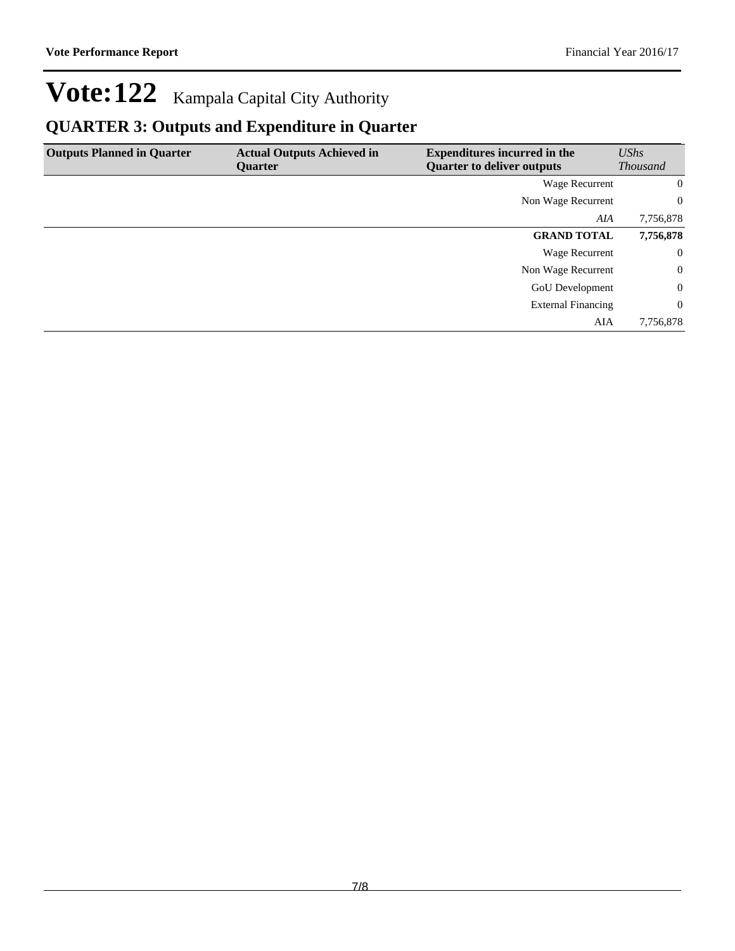# **QUARTER 3: Outputs and Expenditure in Quarter**

| <b>Outputs Planned in Quarter</b> | <b>Actual Outputs Achieved in</b> | <b>Expenditures incurred in the</b> | UShs            |
|-----------------------------------|-----------------------------------|-------------------------------------|-----------------|
|                                   | Quarter                           | <b>Quarter to deliver outputs</b>   | <b>Thousand</b> |
|                                   |                                   | Wage Recurrent                      | $\overline{0}$  |
|                                   |                                   | Non Wage Recurrent                  | $\overline{0}$  |
|                                   |                                   | AIA                                 | 7,756,878       |
|                                   |                                   | <b>GRAND TOTAL</b>                  | 7,756,878       |
|                                   |                                   | Wage Recurrent                      | $\overline{0}$  |
|                                   |                                   | Non Wage Recurrent                  | $\overline{0}$  |
|                                   |                                   | GoU Development                     | $\overline{0}$  |
|                                   |                                   | <b>External Financing</b>           | $\overline{0}$  |
|                                   |                                   | AIA                                 | 7,756,878       |